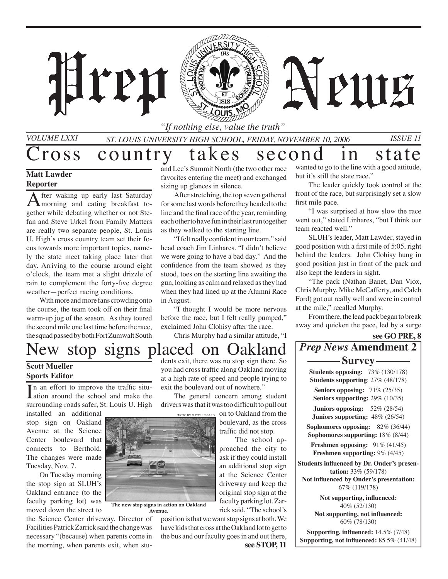

*St. Louis University High School, Friday, NOvember 10, 2006 Issue 11*

Cross country takes second in state

ren

### **Matt Lawder Reporter**

*Volume LXXI*

After waking up early last Saturday morning and eating breakfast together while debating whether or not Stefan and Steve Urkel from Family Matters are really two separate people, St. Louis U. High's cross country team set their focus towards more important topics, namely the state meet taking place later that day. Arriving to the course around eight o'clock, the team met a slight drizzle of rain to complement the forty-five degree weather—perfect racing conditions.

With more and more fans crowding onto the course, the team took off on their final warm-up jog of the season. As they toured the second mile one last time before the race, the squad passed by both Fort Zumwalt South

and Lee's Summit North (the two other race favorites entering the meet) and exchanged sizing up glances in silence.

After stretching, the top seven gathered for some last words before they headed to the line and the final race of the year, reminding each other to have fun in their last run together as they walked to the starting line.

"I felt really confident in our team," said head coach Jim Linhares. "I didn't believe we were going to have a bad day." And the confidence from the team showed as they stood, toes on the starting line awaiting the gun, looking as calm and relaxed as they had when they had lined up at the Alumni Race in August.

"I thought I would be more nervous before the race, but I felt really pumped," exclaimed John Clohisy after the race.

Chris Murphy had a similar attitude, "I

wanted to go to the line with a good attitude, but it's still the state race."

**APUIE** 

The leader quickly took control at the front of the race, but surprisingly set a slow first mile pace.

"I was surprised at how slow the race went out," stated Linhares, "but I think our team reacted well."

SLUH's leader, Matt Lawder, stayed in good position with a first mile of 5:05, right behind the leaders. John Clohisy hung in good position just in front of the pack and also kept the leaders in sight.

"The pack (Nathan Banet, Dan Viox, Chris Murphy, Mike McCafferty, and Caleb Ford) got out really well and were in control at the mile," recalled Murphy.

From there, the lead pack began to break away and quicken the pace, led by a surge

**see GO PRE, 8**

## New stop signs placed on Oakland

### **Scott Mueller Sports Editor**

 $\prod$  an effort to improve the traffic situation around the school and make the n an effort to improve the traffic situsurrounding roads safer, St. Louis U. High

installed an additional stop sign on Oakland Avenue at the Science Center boulevard that connects to Berthold. The changes were made Tuesday, Nov. 7.

On Tuesday morning the stop sign at SLUH's Oakland entrance (to the faculty parking lot) was moved down the street to

the Science Center driveway. Director of Facilities Patrick Zarrick said the change was necessary "(because) when parents come in the morning, when parents exit, when stu-

dents exit, there was no stop sign there. So you had cross traffic along Oakland moving at a high rate of speed and people trying to exit the boulevard out of nowhere."

The general concern among student drivers was that it was too difficult to pull out

> PHOTO BY MATT HUBBARD On to Oakland from the boulevard, as the cross traffic did not stop.

 The school approached the city to ask if they could install an additional stop sign at the Science Center driveway and keep the original stop sign at the faculty parking lot. Zarrick said, "The school's

**see STOP, 11** position is that we want stop signs at both. We have kids that cross at the Oakland lot to get to the bus and our faculty goes in and out there, *Prep News* **Amendment 2 Survey Students opposing:** 73% (130/178)

**Students supporting**: 27% (48/178) **Seniors opposing:** 71% (25/35) **Seniors supporting:** 29% (10/35) **Juniors opposing:** 52% (28/54)

**Juniors supporting:** 48% (26/54) **Sophomores opposing:** 82% (36/44) **Sophomores supporting:** 18% (8/44)

**Freshmen opposing:** 91% (41/45) **Freshmen supporting:** 9% (4/45)

**Students influenced by Dr. Onder's presentation:** 33% (59/178)

**Not influenced by Onder's presentation:** 67% (119/178)

> **Not supporting, influenced:**  40% (52/130) **Not supporting, not influenced:**

60% (78/130)

**Supporting, influenced:** 14.5% (7/48) **Supporting, not influenced:** 85.5% (41/48)



**The new stop signs in action on Oakland Avenue.**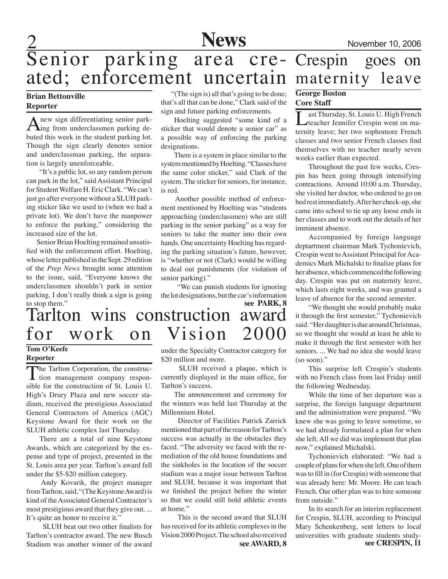

## Senior parking area cre- Crespin goes on<br>ated; enforcement uncertain maternity leave ated; enforcement uncertain maternity leave

### **Brian Bettonville Reporter**

A new sign differentiating senior park-<br>digital triangle debuted this week in the student parking lot. Though the sign clearly denotes senior and underclassman parking, the separation is largely unenforceable.

"It's a public lot, so any random person can park in the lot," said Assistant Principal for Student Welfare H. Eric Clark. "We can't just go after everyone without a SLUH parking sticker like we used to (when we had a private lot). We don't have the manpower to enforce the parking," considering the increased size of the lot.

 Senior Brian Hoelting remained unsatisfied with the enforcement effort. Hoelting, whose letter published in the Sept. 29 edition of the *Prep News* brought some attention to the issue, said, "Everyone knows the underclassmen shouldn't park in senior parking. I don't really think a sign is going to stop them."

## Tarlton wins construction award for work on Vision

### **Tom O'Keefe**

**Reporter**

The Tarlton Corporation, the construc- $\perp$  tion management company responsible for the construction of St. Louis U. High's Drury Plaza and new soccer stadium, received the prestigious Associated General Contractors of America (AGC) Keystone Award for their work on the SLUH athletic complex last Thursday.

There are a total of nine Keystone Awards, which are categorized by the expense and type of project, presented in the St. Louis area per year. Tarlton's award fell under the \$5-\$20 million category.

 Andy Kovarik, the project manager from Tarlton, said, "(The Keystone Award) is kind of the Associated General Contractor's most prestigious award that they give out. ... It's quite an honor to receive it."

 SLUH beat out two other finalists for Tarlton's contractor award. The new Busch Stadium was another winner of the award

 "(The sign is) all that's going to be done; that's all that can be done," Clark said of the sign and future parking enforcements.

Hoelting suggested "some kind of a sticker that would denote a senior car" as a possible way of enforcing the parking designations.

There is a system in place similar to the system mentioned by Hoelting. "Classes have the same color sticker," said Clark of the system. The sticker for seniors, for instance, is red.

 Another possible method of enforcement mentioned by Hoelting was "students approaching (underclassmen) who are still parking in the senior parking" as a way for seniors to take the matter into their own hands. One uncertainty Hoelting has regarding the parking situation's future, however, is "whether or not (Clark) would be willing to deal out punishments (for violation of senior parking)."

 "We can punish students for ignoring the lot designations, but the car's information

**see PARK, 8**

under the Specialty Contractor category for \$20 million and more.

 SLUH received a plaque, which is currently displayed in the main office, for Tarlton's success.

The announcement and ceremony for the winners was held last Thursday at the Millennium Hotel.

 Director of Facilities Patrick Zarrick mentioned that part of the reason for Tarlton's success was actually in the obstacles they faced. "The adversity we faced with the remediation of the old house foundations and the sinkholes in the location of the soccer stadium was a major issue between Tarlton and SLUH, because it was important that we finished the project before the winter so that we could still hold athletic events at home."

**see AWARD, 8** This is the second award that SLUH has received for its athletic complexes in the Vision 2000 Project. The school also received

### **George Boston Core Staff**

ast Thursday, St. Louis U. High French teacher Jennifer Crespin went on maternity leave; her two sophomore French classes and two senior French classes find themselves with no teacher nearly seven weeks earlier than expected.

Throughout the past few weeks, Crespin has been going through intensifying contractions. Around 10:00 a.m. Thursday, she visited her doctor, who ordered to go on bed rest immediately. After her check-up, she came into school to tie up any loose ends in her classes and to work out the details of her imminent absence.

Accompanied by foreign language deptartment chairman Mark Tychonievich, Crespin went to Assistant Principal for Academics Mark Michalski to finalize plans for her absence, which commenced the following day. Crespin was put on maternity leave, which lasts eight weeks, and was granted a leave of absence for the second semester.

"We thought she would probably make it through the first semester," Tychonievich said. "Her daughter is due around Christmas, so we thought she would at least be able to make it through the first semester with her seniors. ... We had no idea she would leave (so soon)."

This surprise left Crespin's students with no French class from last Friday until the following Wednesday.

While the time of her departure was a surprise, the foreign language department and the administration were prepared. "We knew she was going to leave sometime, so we had already formulated a plan for when she left. All we did was implement that plan now," explained Michalski.

Tychonievich elaborated: "We had a couple of plans for when she left. One of them was to fill in (for Crespin) with someone that was already here: Mr. Moore. He can teach French. Our other plan was to hire someone from outside."

**see CRESPIN, 11** In its search for an interim replacement for Crespin, SLUH, according to Principal Mary Schenkenberg, sent letters to local universities with graduate students study-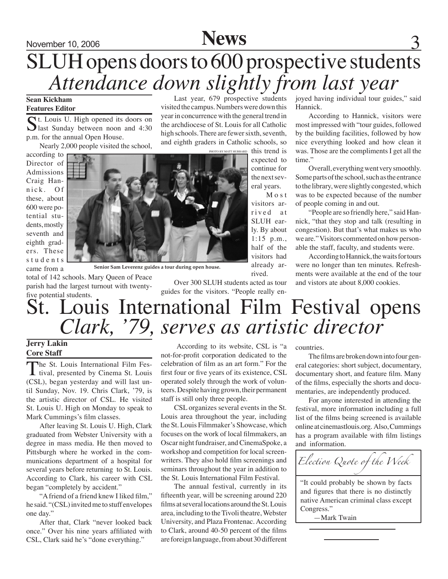### November 10, 2006 **News** 3 SLUH opens doors to 600 prospective students *Attendance down slightly from last year* Last year, 679 prospective students

visited the campus. Numbers were down this year in concurrence with the general trend in the archdiocese of St. Louis for all Catholic high schools. There are fewer sixth, seventh,

#### **Sean Kickham Features Editor**

St. Louis U. High opened its doors on last Sunday between noon and 4:30 p.m. for the annual Open House.

Nearly 2,000 people visited the school,

according to Director of Admissions Craig Hannick. Of these, about 600 were potential students, mostly seventh and eighth graders. These s tudents came from a



**Senior Sam Leverenz guides a tour during open house.**

Over 300 SLUH students acted as tour guides for the visitors. "People really enjoyed having individual tour guides," said Hannick.

According to Hannick, visitors were most impressed with "tour guides, followed by the building facilities, followed by how nice everything looked and how clean it was. Those are the compliments I get all the time."

Overall, everything went very smoothly. Some parts of the school, such as the entrance to the library, were slightly congested, which was to be expected because of the number of people coming in and out.

"People are so friendly here," said Hannick, "that they stop and talk (resulting in congestion). But that's what makes us who we are." Visitors commented on how personable the staff, faculty, and students were.

According to Hannick, the waits for tours were no longer than ten minutes. Refreshments were available at the end of the tour and vistors ate about 8,000 cookies.

### St. Louis International Film Festival opens five potential students. *Clark, '79, serves as artistic director*

### **Jerry Lakin Core Staff**

The St. Louis International Film Fes-<br>tival, presented by Cinema St. Louis (CSL), began yesterday and will last until Sunday, Nov. 19. Chris Clark, '79, is the artistic director of CSL. He visited St. Louis U. High on Monday to speak to Mark Cummings's film classes.

total of 142 schools. Mary Queen of Peace parish had the largest turnout with twenty-

After leaving St. Louis U. High, Clark graduated from Webster University with a degree in mass media. He then moved to Pittsburgh where he worked in the communications department of a hospital for several years before returning to St. Louis. According to Clark, his career with CSL began "completely by accident."

"A friend of a friend knew I liked film," he said. "(CSL) invited me to stuff envelopes one day."

After that, Clark "never looked back once." Over his nine years affiliated with CSL, Clark said he's "done everything."

 According to its website, CSL is "a not-for-profit corporation dedicated to the celebration of film as an art form." For the first four or five years of its existence, CSL operated solely through the work of volunteers. Despite having grown, their permanent staff is still only three people.

CSL organizes several events in the St. Louis area throughout the year, including the St. Louis Filmmaker's Showcase, which focuses on the work of local filmmakers, an Oscar night fundraiser, and CinemaSpoke, a workshop and competition for local screenwriters. They also hold film screenings and seminars throughout the year in addition to the St. Louis International Film Festival.

The annual festival, currently in its fifteenth year, will be screening around 220 films at several locations around the St. Louis area, including to the Tivoli theatre, Webster University, and Plaza Frontenac. According to Clark, around 40-50 percent of the films are foreign language, from about 30 different

countries.

M o s t

already arrived.

> The films are broken down into four general categories: short subject, documentary, documentary short, and feature film. Many of the films, especially the shorts and documentaries, are independently produced.

For anyone interested in attending the festival, more information including a full list of the films being screened is available online at cinemastlouis.org. Also, Cummings has a program available with film listings and information.

*Election Quote of the Week*

"It could probably be shown by facts and figures that there is no distinctly native American criminal class except Congress."

—Mark Twain

1:15 p.m., half of the visitors had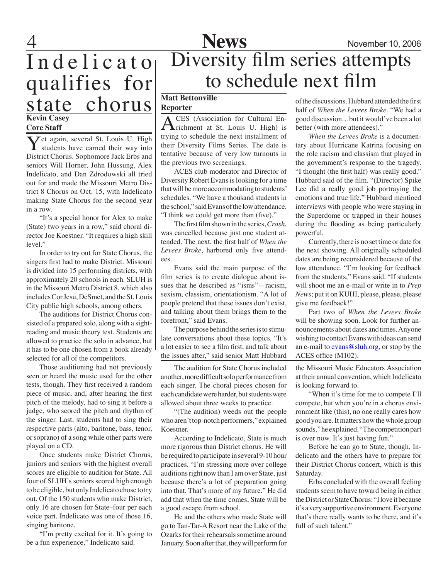

Indelicato qualifies for state chorus **Kevin Casey**

#### **Core Staff**

**Y**et again, several St. Louis U. High students have earned their way into District Chorus. Sophomore Jack Erbs and seniors Will Horner, John Hussung, Alex Indelicato, and Dan Zdrodowski all tried out for and made the Missouri Metro District 8 Chorus on Oct. 15, with Indelicato making State Chorus for the second year in a row.

"It's a special honor for Alex to make (State) two years in a row," said choral director Joe Koestner. "It requires a high skill level."

In order to try out for State Chorus, the singers first had to make District. Missouri is divided into 15 performing districts, with approximately 20 schools in each. SLUH is in the Missouri Metro District 8, which also includes Cor Jesu, DeSmet, and the St. Louis City public high schools, among others.

The auditions for District Chorus consisted of a prepared solo, along with a sightreading and music theory test. Students are allowed to practice the solo in advance, but it has to be one chosen from a book already selected for all of the competitors.

Those auditioning had not previously seen or heard the music used for the other tests, though. They first received a random piece of music, and, after hearing the first pitch of the melody, had to sing it before a judge, who scored the pitch and rhythm of the singer. Last, students had to sing their respective parts (alto, baritone, bass, tenor, or soprano) of a song while other parts were played on a CD.

Once students make District Chorus, juniors and seniors with the highest overall scores are eligible to audition for State. All four of SLUH's seniors scored high enough to be eligible, but only Indelicato chose to try out. Of the 150 students who make District, only 16 are chosen for State–four per each voice part. Indelicato was one of those 16, singing baritone.

"I'm pretty excited for it. It's going to be a fun experience," Indelicato said.

## **News** November 10, 2006 Diversity film series attempts to schedule next film

### **Matt Bettonville**

**Reporter**

ACES (Association for Cultural En-<br>
richment at St. Louis U. High) is trying to schedule the next installment of their Diversity Films Series. The date is tentative because of very low turnouts in the previous two screenings.

 ACES club moderator and Director of Diversity Robert Evans is looking for a time that will be more accommodating to students' schedules. "We have a thousand students in the school," said Evans of the low attendance. "I think we could get more than (five)."

 The first film shown in the series, *Crash*, was cancelled because just one student attended. The next, the first half of *When the Levees Broke*, harbored only five attendees.

 Evans said the main purpose of the film series is to create dialogue about issues that he described as "isms"—racism, sexism, classism, orientationism. "A lot of people pretend that these issues don't exist, and talking about them brings them to the forefront," said Evans.

The purpose behind the series is to stimulate conversations about these topics. "It's a lot easier to see a film first, and talk about the issues after," said senior Matt Hubbard

The audition for State Chorus included another, more difficult solo performance from each singer. The choral pieces chosen for each candidate were harder, but students were allowed about three weeks to practice.

"(The audition) weeds out the people who aren't top-notch performers," explained Koestner.

According to Indelicato, State is much more rigorous than District chorus. He will be required to participate in several 9-10 hour practices. "I'm stressing more over college auditions right now than I am over State, just because there's a lot of preparation going into that. That's more of my future." He did add that when the time comes, State will be a good escape from school.

He and the others who made State will go to Tan-Tar-A Resort near the Lake of the Ozarks for their rehearsals sometime around January. Soon after that, they will perform for of the discussions. Hubbard attended the first half of *When the Levees Broke*. "We had a good discussion…but it would've been a lot better (with more attendees)."

 *When the Levees Broke* is a documentary about Hurricane Katrina focusing on the role racism and classism that played in the government's response to the tragedy. "I thought (the first half) was really good," Hubbard said of the film. "(Director) Spike Lee did a really good job portraying the emotions and true life." Hubbard mentioed interviews with people who were staying in the Superdome or trapped in their houses during the flooding as being particularly powerful.

 Currently, there is no set time or date for the next showing. All originally scheduled dates are being reconsidered because of the low attendance. "I'm looking for feedback from the students," Evans said. "If students will shoot me an e-mail or write in to *Prep News*; put it on KUHI, please, please, please give me feedback!"

 Part two of *When the Levees Broke* will be showing soon. Look for further announcements about dates and times. Anyone wishing to contact Evans with ideas can send an e-mail to  $evans@sluh.org$ , or stop by the ACES office (M102).

the Missouri Music Educators Association at their annual convention, which Indelicato is looking forward to.

"When it's time for me to compete I'll compete, but when you're in a chorus environment like (this), no one really cares how good you are. It matters how the whole group sounds," he explained. "The competition part is over now. It's just having fun."

Before he can go to State, though, Indelicato and the others have to prepare for their District Chorus concert, which is this Saturday.

Erbs concluded with the overall feeling students seem to have toward being in either the District or State Chorus: "I love it because it's a very supportive environment. Everyone that's there really wants to be there, and it's full of such talent."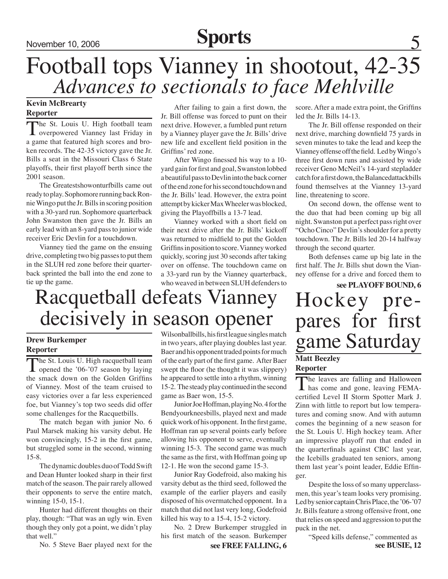## November 10, 2006 **Sports**

## Football tops Vianney in shootout, 42-35 *Advances to sectionals to face Mehlville*

### **Kevin McBrearty Reporter**

The St. Louis U. High football team overpowered Vianney last Friday in a game that featured high scores and broken records. The 42-35 victory gave the Jr. Bills a seat in the Missouri Class 6 State playoffs, their first playoff berth since the 2001 season.

The Greatestshowonturfbills came out ready to play. Sophomore running back Ronnie Wingo put the Jr. Bills in scoring position with a 30-yard run. Sophomore quarterback John Swanston then gave the Jr. Bills an early lead with an 8-yard pass to junior wide receiver Eric Devlin for a touchdown.

Vianney tied the game on the ensuing drive, completing two big passes to put them in the SLUH red zone before their quarterback sprinted the ball into the end zone to tie up the game.

After failing to gain a first down, the Jr. Bill offense was forced to punt on their next drive. However, a fumbled punt return by a Vianney player gave the Jr. Bills' drive new life and excellent field position in the Griffins' red zone.

After Wingo finessed his way to a 10 yard gain for first and goal, Swanston lobbed a beautiful pass to Devlin into the back corner of the end zone for his second touchdown and the Jr. Bills' lead. However, the extra point attempt by kicker Max Wheeler was blocked, giving the Playoffbills a 13-7 lead.

Vianney worked with a short field on their next drive after the Jr. Bills' kickoff was returned to midfield to put the Golden Griffins in position to score. Vianney worked quickly, scoring just 30 seconds after taking over on offense. The touchdown came on a 33-yard run by the Vianney quarterback, who weaved in between SLUH defenders to score. After a made extra point, the Griffins led the Jr. Bills 14-13.

The Jr. Bill offense responded on their next drive, marching downfield 75 yards in seven minutes to take the lead and keep the Vianney offense off the field. Led by Wingo's three first down runs and assisted by wide receiver Geno McNeil's 14-yard stepladder catch for a first down, the Balancedattackbills found themselves at the Vianney 13-yard line, threatening to score.

On second down, the offense went to the duo that had been coming up big all night. Swanston put a perfect pass right over "Ocho Cinco" Devlin's shoulder for a pretty touchdown. The Jr. Bills led 20-14 halfway through the second quarter.

Both defenses came up big late in the first half. The Jr. Bills shut down the Vianney offense for a drive and forced them to

## **see PLAYOFF BOUND, 6** Hockey pre- pares for first game Saturday **Matt Beezley**

### **Reporter**

The leaves are falling and Halloween<br>has come and gone, leaving FEMAcertified Level II Storm Spotter Mark J. Zinn with little to report but low temperatures and coming snow. And with autumn comes the beginning of a new season for the St. Louis U. High hockey team. After an impressive playoff run that ended in the quarterfinals against CBC last year, the Icebills graduated ten seniors, among them last year's point leader, Eddie Effinger.

Despite the loss of so many upperclassmen, this year's team looks very promising. Led by senior captain Chris Place, the '06-'07 Jr. Bills feature a strong offensive front, one that relies on speed and aggression to put the puck in the net.

**see BUSIE, 12** "Speed kills defense," commented as

## Racquetball defeats Vianney decisively in season opener

### **Drew Burkemper Reporter**

The St. Louis U. High racquetball team<br>
opened the '06-'07 season by laying the smack down on the Golden Griffins of Vianney. Most of the team cruised to easy victories over a far less experienced foe, but Vianney's top two seeds did offer some challenges for the Racquetbills.

The match began with junior No. 6 Paul Marsek making his varsity debut. He won convincingly, 15-2 in the first game, but struggled some in the second, winning 15-8.

The dynamic doubles duo of Todd Swift and Dean Hunter looked sharp in their first match of the season. The pair rarely allowed their opponents to serve the entire match, winning 15-0, 15-1.

Hunter had different thoughts on their play, though: "That was an ugly win. Even though they only got a point, we didn't play that well."

No. 5 Steve Baer played next for the

Wilsonballbills, his first league singles match in two years, after playing doubles last year. Baer and his opponent traded points for much of the early part of the first game. After Baer swept the floor (he thought it was slippery) he appeared to settle into a rhythm, winning 15-2. The steady play continued in the second game as Baer won, 15-5.

Junior Joe Hoffman, playing No. 4 for the Bendyourkneesbills, played next and made quick work of his opponent. In the first game, Hoffman ran up several points early before allowing his opponent to serve, eventually winning 15-3. The second game was much the same as the first, with Hoffman going up 12-1. He won the second game 15-3.

Junior Ray Godefroid, also making his varsity debut as the third seed, followed the example of the earlier players and easily disposed of his overmatched opponent. In a match that did not last very long, Godefroid killed his way to a 15-4, 15-2 victory.

No. 2 Drew Burkemper struggled in his first match of the season. Burkemper

**see FREE FALLING, 6**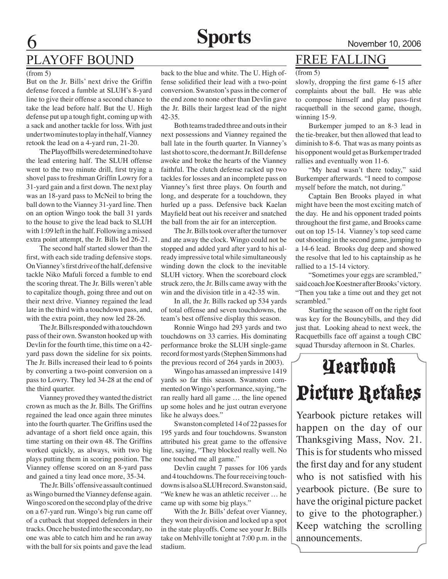## PLAYOFF BOUND

#### (from 5)

But on the Jr. Bills' next drive the Griffin defense forced a fumble at SLUH's 8-yard line to give their offense a second chance to take the lead before half. But the U. High defense put up a tough fight, coming up with a sack and another tackle for loss. With just under two minutes to play in the half, Vianney retook the lead on a 4-yard run, 21-20.

The Playoffbills were determined to have the lead entering half. The SLUH offense went to the two minute drill, first trying a shovel pass to freshman Griffin Lowry for a 31-yard gain and a first down. The next play was an 18-yard pass to McNeil to bring the ball down to the Vianney 31-yard line. Then on an option Wingo took the ball 31 yards to the house to give the lead back to SLUH with 1:09 left in the half. Following a missed extra point attempt, the Jr. Bills led 26-21.

The second half started slower than the first, with each side trading defensive stops. On Vianney's first drive of the half, defensive tackle Niko Mafuli forced a fumble to end the scoring threat. The Jr. Bills weren't able to capitalize though, going three and out on their next drive. Vianney regained the lead late in the third with a touchdown pass, and, with the extra point, they now led 28-26.

The Jr. Bills responded with a touchdown pass of their own. Swanston hooked up with Devlin for the fourth time, this time on a 42 yard pass down the sideline for six points. The Jr. Bills increased their lead to 6 points by converting a two-point conversion on a pass to Lowry. They led 34-28 at the end of the third quarter.

Vianney proved they wanted the district crown as much as the Jr. Bills. The Griffins regained the lead once again three minutes into the fourth quarter. The Griffins used the advantage of a short field once again, this time starting on their own 48. The Griffins worked quickly, as always, with two big plays putting them in scoring position. The Vianney offense scored on an 8-yard pass and gained a tiny lead once more, 35-34.

 The Jr. Bills' offensive assault continued as Wingo burned the Vianney defense again. Wingo scored on the second play of the drive on a 67-yard run. Wingo's big run came off of a cutback that stopped defenders in their tracks. Once he busted into the secondary, no one was able to catch him and he ran away with the ball for six points and gave the lead

back to the blue and white. The U. High offense solidified their lead with a two-point conversion. Swanston's pass in the corner of the end zone to none other than Devlin gave the Jr. Bills their largest lead of the night 42-35.

Both teams traded three and outs in their next possessions and Vianney regained the ball late in the fourth quarter. In Vianney's last shot to score, the dormant Jr. Bill defense awoke and broke the hearts of the Vianney faithful. The clutch defense racked up two tackles for losses and an incomplete pass on Vianney's first three plays. On fourth and long, and desperate for a touchdown, they hurled up a pass. Defensive back Kaelan Mayfield beat out his receiver and snatched the ball from the air for an interception.

The Jr. Bills took over after the turnover and ate away the clock. Wingo could not be stopped and added yard after yard to his already impressive total while simultaneously winding down the clock to the inevitable SLUH victory. When the scoreboard clock struck zero, the Jr. Bills came away with the win and the division title in a 42-35 win.

In all, the Jr. Bills racked up 534 yards of total offense and seven touchdowns, the team's best offensive display this season.

Ronnie Wingo had 293 yards and two touchdowns on 33 carries. His dominating performance broke the SLUH single-game record for most yards (Stephen Simmons had the previous record of 264 yards in 2003).

Wingo has amassed an impressive 1419 yards so far this season. Swanston commented on Wingo's performance, saying, "he ran really hard all game … the line opened up some holes and he just outran everyone like he always does."

Swanston completed 14 of 22 passes for 195 yards and four touchdowns. Swanston attributed his great game to the offensive line, saying, "They blocked really well. No one touched me all game."

Devlin caught 7 passes for 106 yards and 4 touchdowns. The four receiving touchdowns is also a SLUH record. Swanston said, "We knew he was an athletic receiver … he came up with some big plays."

With the Jr. Bills' defeat over Vianney, they won their division and locked up a spot in the state playoffs. Come see your Jr. Bills take on Mehlville tonight at 7:00 p.m. in the stadium.

### Free Falling

#### (from 5)

slowly, dropping the first game 6-15 after complaints about the ball. He was able to compose himself and play pass-first racquetball in the second game, though, winning 15-9.

Burkemper jumped to an 8-3 lead in the tie-breaker, but then allowed that lead to diminish to 8-6. That was as many points as his opponent would get as Burkemper traded rallies and eventually won 11-6.

"My head wasn't there today," said Burkemper afterwards. "I need to compose myself before the match, not during."

Captain Ben Brooks played in what might have been the most exciting match of the day. He and his opponent traded points throughout the first game, and Brooks came out on top 15-14. Vianney's top seed came out shooting in the second game, jumping to a 14-6 lead. Brooks dug deep and showed the resolve that led to his captainship as he rallied to a 15-14 victory.

"Sometimes your eggs are scrambled," said coach Joe Koestner after Brooks' victory. "Then you take a time out and they get not scrambled."

Starting the season off on the right foot was key for the Bouncybills, and they did just that. Looking ahead to next week, the Racquetbills face off against a tough CBC squad Thursday afternoon in St. Charles.

# Yearbook Picture Retakes

Yearbook picture retakes will happen on the day of our Thanksgiving Mass, Nov. 21. This is for students who missed the first day and for any student who is not satisfied with his yearbook picture. (Be sure to have the original picture packet to give to the photographer.) Keep watching the scrolling announcements.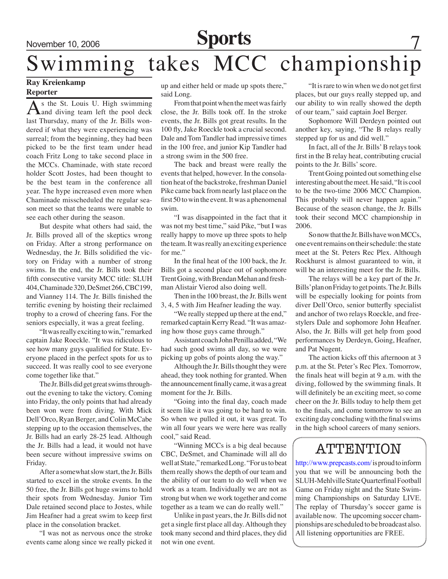### November 10, 2006 **Sports**

# Swimming takes MCC championship

### **Ray Kreienkamp Reporter**

As the St. Louis U. High swimming<br>and diving team left the pool deck last Thursday, many of the Jr. Bills wondered if what they were experiencing was surreal; from the beginning, they had been picked to be the first team under head coach Fritz Long to take second place in the MCCs. Chaminade, with state record holder Scott Jostes, had been thought to be the best team in the conference all year. The hype increased even more when Chaminade misscheduled the regular season meet so that the teams were unable to see each other during the season.

But despite what others had said, the Jr. Bills proved all of the skeptics wrong on Friday. After a strong performance on Wednesday, the Jr. Bills solidified the victory on Friday with a number of strong swims. In the end, the Jr. Bills took their fifth consecutive varsity MCC title: SLUH 404, Chaminade 320, DeSmet 266, CBC199, and Vianney 114. The Jr. Bills finished the terrific evening by hoisting their reclaimed trophy to a crowd of cheering fans. For the seniors especially, it was a great feeling.

"It was really exciting to win," remarked captain Jake Roeckle. "It was ridiculous to see how many guys qualified for State. Everyone placed in the perfect spots for us to succeed. It was really cool to see everyone come together like that."

The Jr. Bills did get great swims throughout the evening to take the victory. Coming into Friday, the only points that had already been won were from diving. With Mick Dell'Orco, Ryan Berger, and Colin McCabe stepping up to the occasion themselves, the Jr. Bills had an early 28-25 lead. Although the Jr. Bills had a lead, it would not have been secure without impressive swims on Friday.

After a somewhat slow start, the Jr. Bills started to excel in the stroke events. In the 50 free, the Jr. Bills got huge swims to hold their spots from Wednesday. Junior Tim Dale retained second place to Jostes, while Jim Heafner had a great swim to keep first place in the consolation bracket.

"I was not as nervous once the stroke events came along since we really picked it up and either held or made up spots there," said Long.

From that point when the meet was fairly close, the Jr. Bills took off. In the stroke events, the Jr. Bills got great results. In the 100 fly, Jake Roeckle took a crucial second. Dale and Tom Tandler had impressive times in the 100 free, and junior Kip Tandler had a strong swim in the 500 free.

The back and breast were really the events that helped, however. In the consolation heat of the backstroke, freshman Daniel Pike came back from nearly last place on the first 50 to win the event. It was a phenomenal swim.

"I was disappointed in the fact that it was not my best time," said Pike, "but I was really happy to move up three spots to help the team. It was really an exciting experience for me."

In the final heat of the 100 back, the Jr. Bills got a second place out of sophomore Trent Going, with Brendan Mehan and freshman Alistair Vierod also doing well.

Then in the 100 breast, the Jr. Bills went 3, 4, 5 with Jim Heafner leading the way.

"We really stepped up there at the end," remarked captain Kerry Read. "It was amazing how those guys came through."

Assistant coach John Penilla added, "We had such good swims all day, so we were picking up gobs of points along the way."

Although the Jr. Bills thought they were ahead, they took nothing for granted. When the announcement finally came, it was a great moment for the Jr. Bills.

"Going into the final day, coach made it seem like it was going to be hard to win. So when we pulled it out, it was great. To win all four years we were here was really cool," said Read.

"Winning MCCs is a big deal because CBC, DeSmet, and Chaminade will all do well at State," remarked Long. "For us to beat them really shows the depth of our team and the ability of our team to do well when we work as a team. Individually we are not as strong but when we work together and come together as a team we can do really well."

Unlike in past years, the Jr. Bills did not get a single first place all day. Although they took many second and third places, they did not win one event.

"It is rare to win when we do not get first places, but our guys really stepped up, and our ability to win really showed the depth of our team," said captain Joel Berger.

Sophomore Will Derdeyn pointed out another key, saying, "The B relays really stepped up for us and did well."

In fact, all of the Jr. Bills' B relays took first in the B relay heat, contributing crucial points to the Jr. Bills' score.

Trent Going pointed out something else interesting about the meet. He said, "It is cool to be the two-time 2006 MCC Champion. This probably will never happen again." Because of the season change, the Jr. Bills took their second MCC championship in 2006.

So now that the Jr. Bills have won MCCs, one event remains on their schedule: the state meet at the St. Peters Rec Plex. Although Rockhurst is almost guaranteed to win, it will be an interesting meet for the Jr. Bills.

The relays will be a key part of the Jr. Bills' plan on Friday to get points. The Jr. Bills will be especially looking for points from diver Dell'Orco, senior butterfly specialist and anchor of two relays Roeckle, and freestylers Dale and sophomore John Heafner. Also, the Jr. Bills will get help from good performances by Derdeyn, Going, Heafner, and Pat Nugent.

The action kicks off this afternoon at 3 p.m. at the St. Peter's Rec Plex. Tomorrow, the finals heat will begin at 9 a.m. with the diving, followed by the swimming finals. It will definitely be an exciting meet, so come cheer on the Jr. Bills today to help them get to the finals, and come tomorrow to see an exciting day concluding with the final swims in the high school careers of many seniors.

### ATTENTION

http://www.prepcasts.com/ is proud to inform you that we will be announcing both the SLUH-Mehlville State Quarterfinal Football Game on Friday night and the State Swimming Championships on Saturday LIVE. The replay of Thursday's soccer game is available now. The upcoming soccer championships are scheduled to be broadcast also. All listening opportunities are FREE.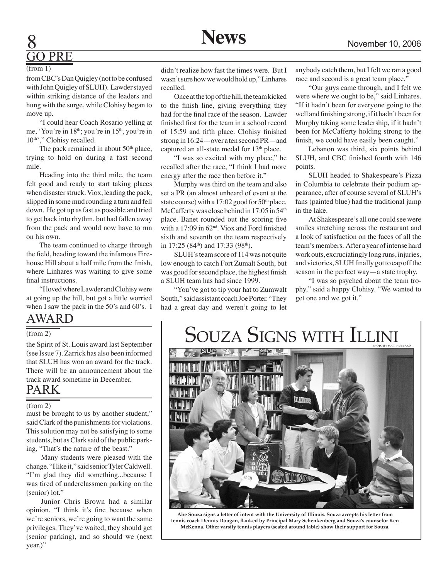

# ) PRE

#### (from 1)

from CBC's Dan Quigley (not to be confused with John Quigley of SLUH). Lawder stayed within striking distance of the leaders and hung with the surge, while Clohisy began to move up.

"I could hear Coach Rosario yelling at me, 'You're in 18<sup>th</sup>; you're in 15<sup>th</sup>, you're in 10<sup>th</sup>'," Clohisy recalled.

The pack remained in about 50<sup>th</sup> place, trying to hold on during a fast second mile.

Heading into the third mile, the team felt good and ready to start taking places when disaster struck. Viox, leading the pack, slipped in some mud rounding a turn and fell down. He got up as fast as possible and tried to get back into rhythm, but had fallen away from the pack and would now have to run on his own.

The team continued to charge through the field, heading toward the infamous Firehouse Hill about a half mile from the finish, where Linhares was waiting to give some final instructions.

"I loved where Lawder and Clohisy were at going up the hill, but got a little worried when I saw the pack in the 50's and 60's. I

### AWArD

#### (from 2)

the Spirit of St. Louis award last September (see Issue 7). Zarrick has also been informed that SLUH has won an award for the track. There will be an announcement about the track award sometime in December.

### PARK

#### (from 2)

must be brought to us by another student," said Clark of the punishments for violations. This solution may not be satisfying to some students, but as Clark said of the public parking, "That's the nature of the beast."

 Many students were pleased with the change. "I like it," said senior Tyler Caldwell. "I'm glad they did something...because I was tired of underclassmen parking on the (senior) lot."

 Junior Chris Brown had a similar opinion. "I think it's fine because when we're seniors, we're going to want the same privileges. They've waited, they should get (senior parking), and so should we (next year.)"

didn't realize how fast the times were. But I wasn't sure how we would hold up," Linhares recalled.

Once at the top of the hill, the team kicked to the finish line, giving everything they had for the final race of the season. Lawder finished first for the team in a school record of 15:59 and fifth place. Clohisy finished strong in 16:24—over a ten second PR—and captured an all-state medal for 13<sup>th</sup> place.

"I was so excited with my place," he recalled after the race, "I think I had more energy after the race then before it."

Murphy was third on the team and also set a PR (an almost unheard of event at the state course) with a  $17:02$  good for  $50<sup>th</sup>$  place. McCafferty was close behind in 17:05 in 54<sup>th</sup> place. Banet rounded out the scoring five with a 17:09 in 62nd. Viox and Ford finished sixth and seventh on the team respectively in 17:25 (84<sup>th</sup>) and 17:33 (98<sup>th</sup>).

SLUH's team score of 114 was not quite low enough to catch Fort Zumalt South, but was good for second place, the highest finish a SLUH team has had since 1999.

"You've got to tip your hat to Zumwalt South," said assistant coach Joe Porter. "They had a great day and weren't going to let anybody catch them, but I felt we ran a good race and second is a great team place."

"Our guys came through, and I felt we were where we ought to be," said Linhares. "If it hadn't been for everyone going to the well and finishing strong, if it hadn't been for Murphy taking some leadership, if it hadn't been for McCafferty holding strong to the finish, we could have easily been caught."

Lebanon was third, six points behind SLUH, and CBC finished fourth with 146 points.

SLUH headed to Shakespeare's Pizza in Columbia to celebrate their podium appearance, after of course several of SLUH's fans (painted blue) had the traditional jump in the lake.

At Shakespeare's all one could see were smiles stretching across the restaurant and a look of satisfaction on the faces of all the team's members. After a year of intense hard work outs, excruciatingly long runs, injuries, and victories, SLUH finally got to cap off the season in the perfect way—a state trophy.

"I was so psyched about the team trophy," said a happy Clohisy. "We wanted to get one and we got it."

## duza Signs with Illini



**Abe Souza signs a letter of intent with the University of Illinois. Souza accepts his letter from tennis coach Dennis Dougan, flanked by Principal Mary Schenkenberg and Souza's counselor Ken McKenna. Other varsity tennis players (seated around table) show their support for Souza.**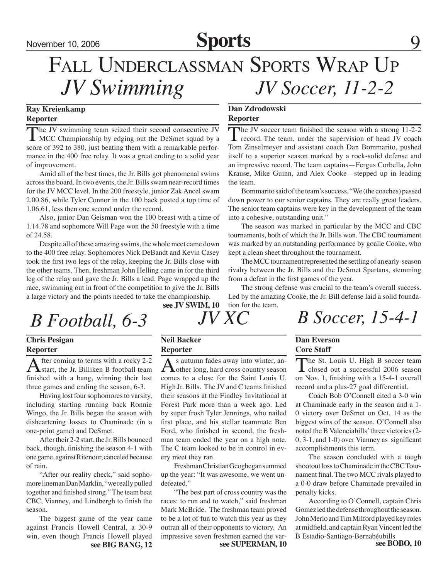### November 10, 2006 **Sports**

### *JV Swimming* FALL UNDERCLASSMAN SPORTS WRAP UP *JV Soccer, 11-2-2*

### **Ray Kreienkamp Reporter**

The JV swimming team seized their second consecutive JV<br>MCC Championship by edging out the DeSmet squad by a<br> $\frac{1}{2}$ score of 392 to 380, just beating them with a remarkable performance in the 400 free relay. It was a great ending to a solid year of improvement.

Amid all of the best times, the Jr. Bills got phenomenal swims across the board. In two events, the Jr. Bills swam near-record times for the JV MCC level. In the 200 freestyle, junior Zak Ancel swam 2.00.86, while Tyler Connor in the 100 back posted a top time of 1.06.61, less then one second under the record.

Also, junior Dan Geisman won the 100 breast with a time of 1.14.78 and sophomore Will Page won the 50 freestyle with a time of 24.58.

Despite all of these amazing swims, the whole meet came down to the 400 free relay. Sophomores Nick DeBandt and Kevin Casey took the first two legs of the relay, keeping the Jr. Bills close with the other teams. Then, freshman John Helling came in for the third leg of the relay and gave the Jr. Bills a lead. Page wrapped up the race, swimming out in front of the competition to give the Jr. Bills a large victory and the points needed to take the championship.

### **Dan Zdrodowski Reporter**

The JV soccer team finished the season with a strong 11-2-2  $\blacktriangle$  record. The team, under the supervision of head JV coach Tom Zinselmeyer and assistant coach Dan Bommarito, pushed itself to a superior season marked by a rock-solid defense and an impressive record. The team captains—Fergus Corbella, John Krause, Mike Guinn, and Alex Cooke—stepped up in leading the team.

Bommarito said of the team's success, "We (the coaches) passed down power to our senior captains. They are really great leaders. The senior team captains were key in the development of the team into a cohesive, outstanding unit."

The season was marked in particular by the MCC and CBC tournaments, both of which the Jr. Bills won. The CBC tournament was marked by an outstanding performance by goalie Cooke, who kept a clean sheet throughout the tournament.

The MCC tournament represented the settling of an early-season rivalry between the Jr. Bills and the DeSmet Spartans, stemming from a defeat in the first games of the year.

The strong defense was crucial to the team's overall success. Led by the amazing Cooke, the Jr. Bill defense laid a solid foundation for the team.

## *B Football, 6-3 JV XC B Soccer, 15-4-1*

### **Chris Pesigan Reporter**

After coming to terms with a rocky 2-2<br>
start, the Jr. Billiken B football team finished with a bang, winning their last three games and ending the season, 6-3.

Having lost four sophomores to varsity, including starting running back Ronnie Wingo, the Jr. Bills began the season with disheartening losses to Chaminade (in a one-point game) and DeSmet.

After their 2-2 start, the Jr. Bills bounced back, though, finishing the season 4-1 with one game, against Ritenour, canceled because of rain.

"After our reality check," said sophomore lineman Dan Marklin, "we really pulled together and finished strong." The team beat CBC, Vianney, and Lindbergh to finish the season.

The biggest game of the year came against Francis Howell Central, a 30-9 win, even though Francis Howell played

**see JV SWIM, 10**

**Neil Backer**

**Dan Everson**

### **Core Staff**

The St. Louis U. High B soccer team **L** closed out a successful 2006 season on Nov. 1, finishing with a 15-4-1 overall record and a plus-27 goal differential.

Coach Bob O'Connell cited a 3-0 win at Chaminade early in the season and a 1- 0 victory over DeSmet on Oct. 14 as the biggest wins of the season. O'Connell also noted the B Valenciabills' three victories (2- 0, 3-1, and 1-0) over Vianney as significant accomplishments this term.

The season concluded with a tough shootout loss to Chaminade in the CBC Tournament final. The two MCC rivals played to a 0-0 draw before Chaminade prevailed in penalty kicks.

According to O'Connell, captain Chris Gomez led the defense throughout the season. John Merlo and Tim Milford played key roles at midfield, and captain Ryan Vincent led the B Estadio-Santiago-Bernabéubills<br>see BOBO, 10

**Reporter**

As autumn fades away into winter, an-<br>
other long, hard cross country season comes to a close for the Saint Louis U. High Jr. Bills. The JV and C teams finished their seasons at the Findley Invitational at Forest Park more than a week ago. Led by super frosh Tyler Jennings, who nailed first place, and his stellar teammate Ben Ford, who finished in second, the freshman team ended the year on a high note. The C team looked to be in control in every meet they ran.

Freshman Christian Geoghegan summed up the year: "It was awesome, we went undefeated."

"The best part of cross country was the races: to run and to watch," said freshman Mark McBride. The freshman team proved to be a lot of fun to watch this year as they outran all of their opponents to victory. An impressive seven freshmen earned the var**see BIG BANG, 12 see SUPERMAN, 10**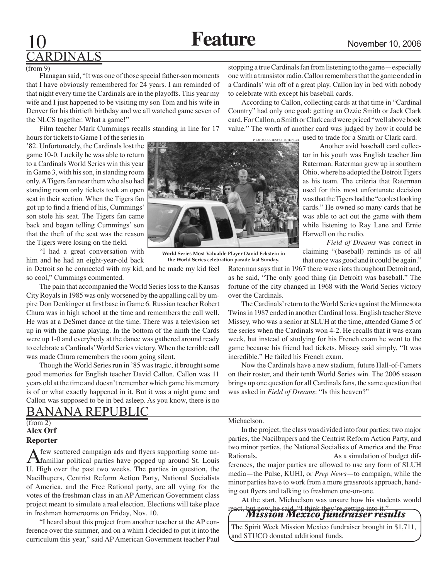# DINALS

#### (from 9)

Flanagan said, "It was one of those special father-son moments that I have obviously remembered for 24 years. I am reminded of that night every time the Cardinals are in the playoffs. This year my wife and I just happened to be visiting my son Tom and his wife in Denver for his thirtieth birthday and we all watched game seven of the NLCS together. What a game!"

Film teacher Mark Cummings recalls standing in line for 17

hours for tickets to Game 1 of the series in '82. Unfortunately, the Cardinals lost the game 10-0. Luckily he was able to return to a Cardinals World Series win this year in Game 3, with his son, in standing room only. A Tigers fan near them who also had standing room only tickets took an open seat in their section. When the Tigers fan got up to find a friend of his, Cummings' son stole his seat. The Tigers fan came back and began telling Cummings' son that the theft of the seat was the reason the Tigers were losing on the field.

"I had a great conversation with him and he had an eight-year-old back in Detroit so he connected with my kid, and he made my kid feel

so cool," Cummings commented. The pain that accompanied the World Series loss to the Kansas City Royals in 1985 was only worsened by the appalling call by umpire Don Denkinger at first base in Game 6. Russian teacher Robert Chura was in high school at the time and remembers the call well. He was at a DeSmet dance at the time. There was a television set up in with the game playing. In the bottom of the ninth the Cards were up 1-0 and everybody at the dance was gathered around ready to celebrate a Cardinals' World Series victory. When the terrible call was made Chura remembers the room going silent.

Though the World Series run in '85 was tragic, it brought some good memories for English teacher David Callon. Callon was 11 years old at the time and doesn't remember which game his memory is of or what exactly happened in it. But it was a night game and Callon was supposed to be in bed asleep. As you know, there is no

### Banana Republic

#### **Alex Orf Reporter** (from 2)

A few scattered campaign ads and flyers supporting some un-<br>familiar political parties have popped up around St. Louis U. High over the past two weeks. The parties in question, the Nacilbupers, Centrist Reform Action Party, National Socialists of America, and the Free Rational party, are all vying for the votes of the freshman class in an AP American Government class project meant to simulate a real election. Elections will take place in freshman homerooms on Friday, Nov. 10.

"I heard about this project from another teacher at the AP conference over the summer, and on a whim I decided to put it into the curriculum this year," said AP American Government teacher Paul

stopping a true Cardinals fan from listening to the game—especially one with a transistor radio. Callon remembers that the game ended in a Cardinals' win off of a great play. Callon lay in bed with nobody to celebrate with except his baseball cards.

According to Callon, collecting cards at that time in "Cardinal Country" had only one goal: getting an Ozzie Smith or Jack Clark card. For Callon, a Smith or Clark card were priced "well above book value." The worth of another card was judged by how it could be

used to trade for a Smith or Clark card.

 Another avid baseball card collector in his youth was English teacher Jim Raterman. Raterman grew up in southern Ohio, where he adopted the Detroit Tigers as his team. The criteria that Raterman used for this most unfortunate decision was that the Tigers had the "coolest looking cards." He owned so many cards that he was able to act out the game with them while listening to Ray Lane and Ernie Harwell on the radio.

 *Field of Dreams* was correct in claiming "(baseball) reminds us of all that once was good and it could be again."

Raterman says that in 1967 there were riots throughout Detroit and, as he said, "The only good thing (in Detroit) was baseball." The fortune of the city changed in 1968 with the World Series victory over the Cardinals.

The Cardinals' return to the World Series against the Minnesota Twins in 1987 ended in another Cardinal loss. English teacher Steve Missey, who was a senior at SLUH at the time, attended Game 5 of the series when the Cardinals won 4-2. He recalls that it was exam week, but instead of studying for his French exam he went to the game because his friend had tickets. Missey said simply, "It was incredible." He failed his French exam.

Now the Cardinals have a new stadium, future Hall-of-Famers on their roster, and their tenth World Series win. The 2006 season brings up one question for all Cardinals fans, the same question that was asked in *Field of Dreams*: "Is this heaven?"

#### Michaelson.

In the project, the class was divided into four parties: two major parties, the Nacilbupers and the Centrist Reform Action Party, and two minor parties, the National Socialists of America and the Free Rationals. As a simulation of budget differences, the major parties are allowed to use any form of SLUH media—the Pulse, KUHI, or *Prep News*—to campaign, while the minor parties have to work from a more grassroots approach, handing out flyers and talking to freshmen one-on-one.

At the start, Michaelson was unsure how his students would now, he said, "I think they're getting into it."

*Mission Mexico fundraiser results*

The Spirit Week Mission Mexico fundraiser brought in \$1,711, and STUCO donated additional funds.



**World Series Most Valuable Player David Eckstein in the World Series celebration parade last Sunday.**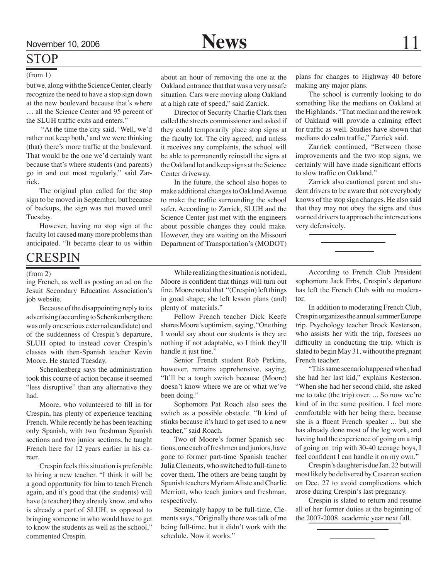### **STOP**

#### (from 1)

but we, along with the Science Center, clearly recognize the need to have a stop sign down at the new boulevard because that's where … all the Science Center and 95 percent of the SLUH traffic exits and enters."

 "At the time the city said, 'Well, we'd rather not keep both,' and we were thinking (that) there's more traffic at the boulevard. That would be the one we'd certainly want because that's where students (and parents) go in and out most regularly," said Zarrick.

The original plan called for the stop sign to be moved in September, but because of backups, the sign was not moved until Tuesday.

However, having no stop sign at the faculty lot caused many more problems than anticipated. "It became clear to us within

### **CRESPIN**

#### (from 2)

ing French, as well as posting an ad on the Jesuit Secondary Education Association's job website.

Because of the disappointing reply to its advertising (according to Schenkenberg there was only one serious external candidate) and of the suddenness of Crespin's departure, SLUH opted to instead cover Crespin's classes with then-Spanish teacher Kevin Moore. He started Tuesday.

Schenkenberg says the administration took this course of action because it seemed "less disruptive" than any alternative they had.

Moore, who volunteered to fill in for Crespin, has plenty of experience teaching French. While recently he has been teaching only Spanish, with two freshman Spanish sections and two junior sections, he taught French here for 12 years earlier in his career.

Crespin feels this situation is preferable to hiring a new teacher. "I think it will be a good opportunity for him to teach French again, and it's good that (the students) will have (a teacher) they already know, and who is already a part of SLUH, as opposed to bringing someone in who would have to get to know the students as well as the school," commented Crespin.

about an hour of removing the one at the Oakland entrance that that was a very unsafe situation. Cars were moving along Oakland at a high rate of speed," said Zarrick.

Director of Security Charlie Clark then called the streets commissioner and asked if they could temporarily place stop signs at the faculty lot. The city agreed, and unless it receives any complaints, the school will be able to permanently reinstall the signs at the Oakland lot and keep signs at the Science Center driveway.

In the future, the school also hopes to make additional changes to Oakland Avenue to make the traffic surrounding the school safer. According to Zarrick, SLUH and the Science Center just met with the engineers about possible changes they could make. However, they are waiting on the Missouri Department of Transportation's (MODOT) plans for changes to Highway 40 before making any major plans.

The school is currently looking to do something like the medians on Oakland at the Highlands. "That median and the rework of Oakland will provide a calming effect for traffic as well. Studies have shown that medians do calm traffic," Zarrick said.

Zarrick continued, "Between those improvements and the two stop signs, we certainly will have made significant efforts to slow traffic on Oakland."

Zarrick also cautioned parent and student drivers to be aware that not everybody knows of the stop sign changes. He also said that they may not obey the signs and thus warned drivers to approach the intersections very defensively.

While realizing the situation is not ideal, Moore is confident that things will turn out fine. Moore noted that "(Crespin) left things in good shape; she left lesson plans (and) plenty of materials."

Fellow French teacher Dick Keefe shares Moore's optimism, saying, "One thing I would say about our students is they are nothing if not adaptable, so I think they'll handle it just fine."

Senior French student Rob Perkins, however, remains apprehensive, saying, "It'll be a tough switch because (Moore) doesn't know where we are or what we've been doing."

Sophomore Pat Roach also sees the switch as a possible obstacle. "It kind of stinks because it's hard to get used to a new teacher," said Roach.

Two of Moore's former Spanish sections, one each of freshmen and juniors, have gone to former part-time Spanish teacher Julia Clements, who switched to full-time to cover them. The others are being taught by Spanish teachers Myriam Aliste and Charlie Merriott, who teach juniors and freshman, respectively.

Seemingly happy to be full-time, Clements says, "Originally there was talk of me being full-time, but it didn't work with the schedule. Now it works."

According to French Club President sophomore Jack Erbs, Crespin's departure has left the French Club with no moderator.

In addition to moderating French Club, Crespin organizes the annual summer Europe trip. Psychology teacher Brock Kesterson, who assists her with the trip, foresees no difficulty in conducting the trip, which is slated to begin May 31, without the pregnant French teacher.

"This same scenario happened when had she had her last kid," explains Kesterson. "When she had her second child, she asked me to take (the trip) over. ... So now we're kind of in the same position. I feel more comfortable with her being there, because she is a fluent French speaker ... but she has already done most of the leg work, and having had the experience of going on a trip of going on trip with 30-40 teenage boys, I feel confident I can handle it on my own."

Crespin's daughter is due Jan. 22 but will most likely be delivered by Cesarean section on Dec. 27 to avoid complications which arose during Crespin's last pregnancy.

Crespin is slated to return and resume all of her former duties at the beginning of the 2007-2008 academic year next fall.